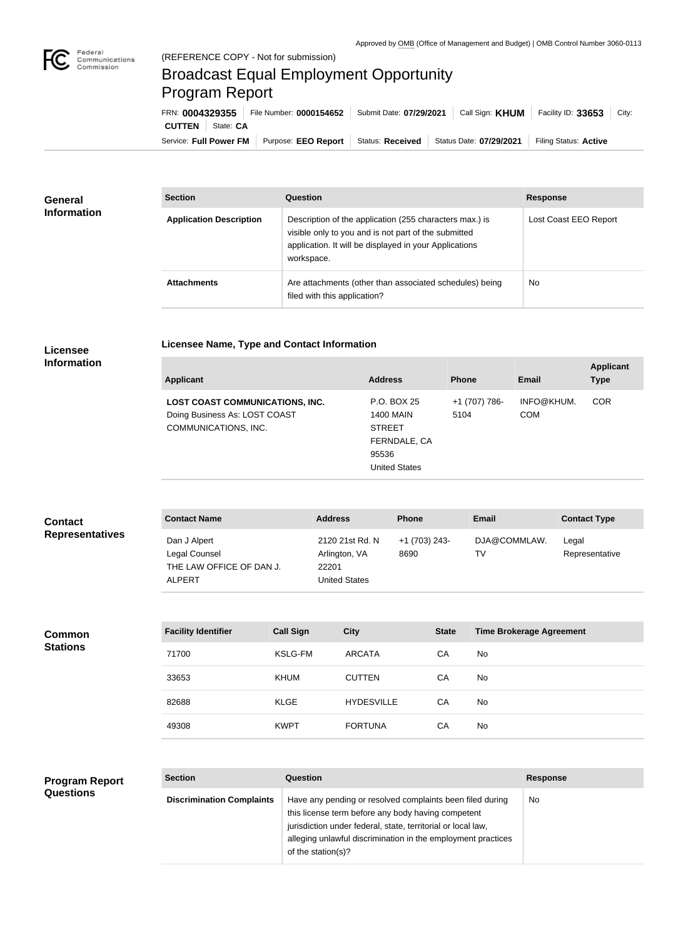

## Broadcast Equal Employment Opportunity Program Report

**Licensee Name, Type and Contact Information**

| FRN: 0004329355            | File Number: 0000154652 | Submit Date: 07/29/2021 |                                            | Call Sign: $KHUM$ Facility ID: 33653 City: |  |
|----------------------------|-------------------------|-------------------------|--------------------------------------------|--------------------------------------------|--|
| <b>CUTTEN</b><br>State: CA |                         |                         |                                            |                                            |  |
| Service: Full Power FM     | Purpose: EEO Report     |                         | Status: Received   Status Date: 07/29/2021 | Filing Status: Active                      |  |

| <b>General</b><br><b>Information</b> | <b>Section</b>                 | Question                                                                                                                                                                                | <b>Response</b>       |  |
|--------------------------------------|--------------------------------|-----------------------------------------------------------------------------------------------------------------------------------------------------------------------------------------|-----------------------|--|
|                                      | <b>Application Description</b> | Description of the application (255 characters max.) is<br>visible only to you and is not part of the submitted<br>application. It will be displayed in your Applications<br>workspace. | Lost Coast EEO Report |  |
|                                      | <b>Attachments</b>             | Are attachments (other than associated schedules) being<br>filed with this application?                                                                                                 | <b>No</b>             |  |

## **Licensee Information**

| <b>Applicant</b>                                                                                | <b>Address</b>                                                                                    | <b>Phone</b>          | Email                    | <b>Applicant</b><br><b>Type</b> |
|-------------------------------------------------------------------------------------------------|---------------------------------------------------------------------------------------------------|-----------------------|--------------------------|---------------------------------|
| <b>LOST COAST COMMUNICATIONS, INC.</b><br>Doing Business As: LOST COAST<br>COMMUNICATIONS, INC. | P.O. BOX 25<br><b>1400 MAIN</b><br><b>STREET</b><br>FERNDALE, CA<br>95536<br><b>United States</b> | +1 (707) 786-<br>5104 | INFO@KHUM.<br><b>COM</b> | <b>COR</b>                      |

| <b>Contact</b>         | <b>Contact Name</b>                                                        | <b>Address</b>                                             | <b>Phone</b>          | <b>Email</b>       | <b>Contact Type</b>     |
|------------------------|----------------------------------------------------------------------------|------------------------------------------------------------|-----------------------|--------------------|-------------------------|
| <b>Representatives</b> | Dan J Alpert<br>Legal Counsel<br>THE LAW OFFICE OF DAN J.<br><b>ALPERT</b> | 2120 21st Rd. N<br>Arlington, VA<br>22201<br>United States | +1 (703) 243-<br>8690 | DJA@COMMLAW.<br>T٧ | Legal<br>Representative |

| <b>Common</b><br><b>Stations</b> | <b>Facility Identifier</b> | <b>Call Sign</b> | City              | <b>State</b> | <b>Time Brokerage Agreement</b> |
|----------------------------------|----------------------------|------------------|-------------------|--------------|---------------------------------|
|                                  | 71700                      | KSLG-FM          | ARCATA            | CA           | No                              |
|                                  | 33653                      | <b>KHUM</b>      | <b>CUTTEN</b>     | СA           | No                              |
|                                  | 82688                      | <b>KLGE</b>      | <b>HYDESVILLE</b> | CA           | No                              |
|                                  | 49308                      | <b>KWPT</b>      | <b>FORTUNA</b>    | CA           | No                              |

## **Program Report Questions**

| <b>Section</b>                   | Question                                                                                                                                                                                                                                                              | <b>Response</b> |
|----------------------------------|-----------------------------------------------------------------------------------------------------------------------------------------------------------------------------------------------------------------------------------------------------------------------|-----------------|
| <b>Discrimination Complaints</b> | Have any pending or resolved complaints been filed during<br>this license term before any body having competent<br>jurisdiction under federal, state, territorial or local law,<br>alleging unlawful discrimination in the employment practices<br>of the station(s)? | No              |